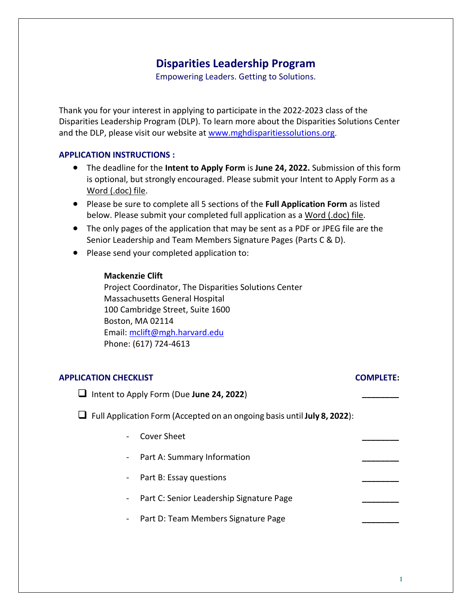Empowering Leaders. Getting to Solutions.

Thank you for your interest in applying to participate in the 2022-2023 class of the Disparities Leadership Program (DLP). To learn more about the Disparities Solutions Center and the DLP, please visit our website at [www.mghdisparitiessolutions.org](http://www.mghdisparitiessolutions.org/).

#### **APPLICATION INSTRUCTIONS :**

- The deadline for the **Intent to Apply Form** is **June 24, 2022.** Submission of this form is optional, but strongly encouraged. Please submit your Intent to Apply Form as a Word (.doc) file.
- Please be sure to complete all 5 sections of the **Full Application Form** as listed below. Please submit your completed full application as a Word (.doc) file.
- The only pages of the application that may be sent as a PDF or JPEG file are the Senior Leadership and Team Members Signature Pages (Parts C & D).
- Please send your completed application to:

#### **Mackenzie Clift**

Project Coordinator, The Disparities Solutions Center Massachusetts General Hospital 100 Cambridge Street, Suite 1600 Boston, MA 02114 Email: [mclift@mgh.harvard.edu](mailto:kkenst@partners.org) Phone: (617) 724-4613

#### **APPLICATION CHECKLIST COMPLETE:**

❑ Intent to Apply Form (Due **June 24, 2022**) **\_\_\_\_\_\_\_\_**

❑ Full Application Form (Accepted on an ongoing basis until **July 8, 2022**):

- Cover Sheet **\_\_\_\_\_\_\_\_**
- Part A: Summary Information **\_\_\_\_\_\_\_\_**
- Part B: Essay questions
- Part C: Senior Leadership Signature Page **\_\_\_\_\_\_\_\_**
- Part D: Team Members Signature Page **\_\_\_\_\_\_\_\_**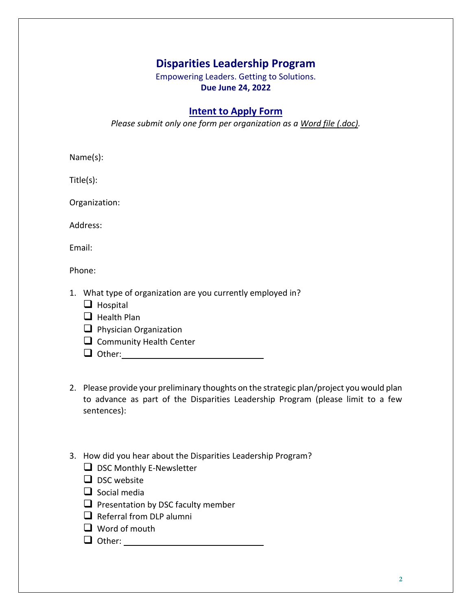Empowering Leaders. Getting to Solutions. **Due June 24, 2022**

## **Intent to Apply Form**

*Please submit only one form per organization as a Word file (.doc).*

Name(s):

Title(s):

Organization:

Address:

Email:

Phone:

- 1. What type of organization are you currently employed in?
	- ❑ Hospital
	- ❑ Health Plan
	- ❑ Physician Organization
	- □ Community Health Center
	- ❑ Other:
- 2. Please provide your preliminary thoughts on the strategic plan/project you would plan to advance as part of the Disparities Leadership Program (please limit to a few sentences):
- 3. How did you hear about the Disparities Leadership Program?
	- □ DSC Monthly E-Newsletter
	- ❑ DSC website
	- ❑ Social media
	- $\Box$  Presentation by DSC faculty member
	- $\Box$  Referral from DLP alumni
	- ❑ Word of mouth
	- ❑ Other: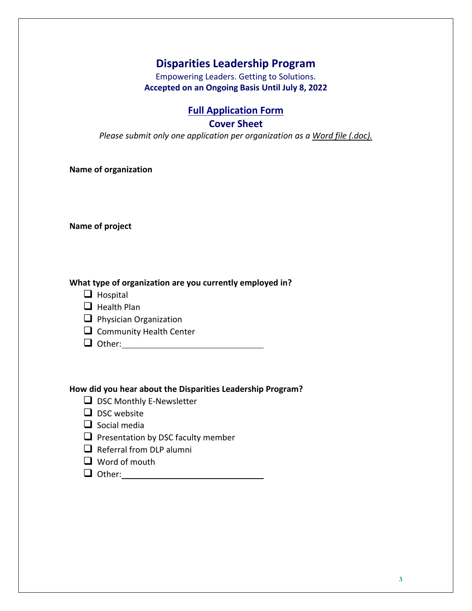Empowering Leaders. Getting to Solutions. **Accepted on an Ongoing Basis Until July 8, 2022**

### **Full Application Form**

#### **Cover Sheet**

*Please submit only one application per organization as a Word file (.doc).*

**Name of organization**

**Name of project**

**What type of organization are you currently employed in?**

- ❑ Hospital
- ❑ Health Plan
- ❑ Physician Organization
- □ Community Health Center
- ❑ Other:

#### **How did you hear about the Disparities Leadership Program?**

- ❑ DSC Monthly E-Newsletter
- ❑ DSC website
- ❑ Social media
- □ Presentation by DSC faculty member
- $\Box$  Referral from DLP alumni
- ❑ Word of mouth
- ❑ Other: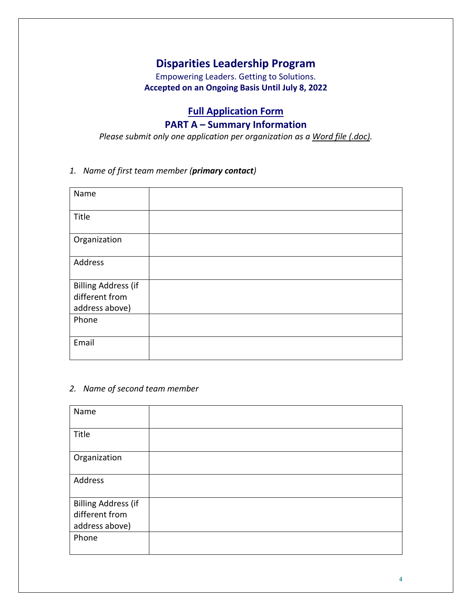Empowering Leaders. Getting to Solutions. **Accepted on an Ongoing Basis Until July 8, 2022**

# **Full Application Form**

## **PART A – Summary Information**

*Please submit only one application per organization as a Word file (.doc).*

### *1. Name of first team member (primary contact)*

| Name                       |  |
|----------------------------|--|
| Title                      |  |
| Organization               |  |
| Address                    |  |
| <b>Billing Address (if</b> |  |
| different from             |  |
| address above)             |  |
| Phone                      |  |
|                            |  |
| Email                      |  |
|                            |  |

#### *2. Name of second team member*

| Name                       |  |
|----------------------------|--|
| Title                      |  |
| Organization               |  |
| Address                    |  |
| <b>Billing Address (if</b> |  |
| different from             |  |
| address above)             |  |
| Phone                      |  |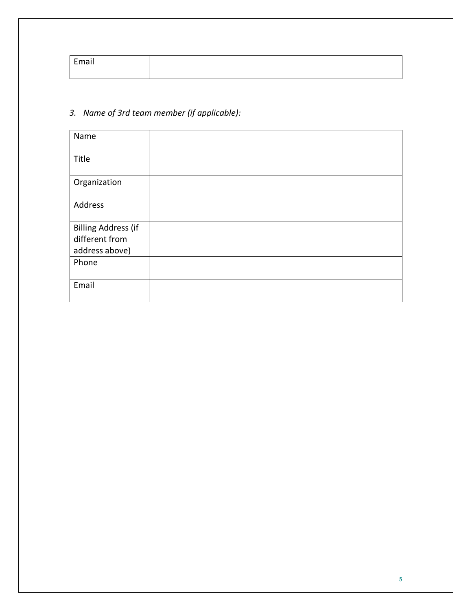| Email |  |
|-------|--|
|       |  |

# *3. Name of 3rd team member (if applicable):*

| Name                       |  |
|----------------------------|--|
| Title                      |  |
| Organization               |  |
| Address                    |  |
| <b>Billing Address (if</b> |  |
| different from             |  |
| address above)             |  |
| Phone                      |  |
|                            |  |
| Email                      |  |
|                            |  |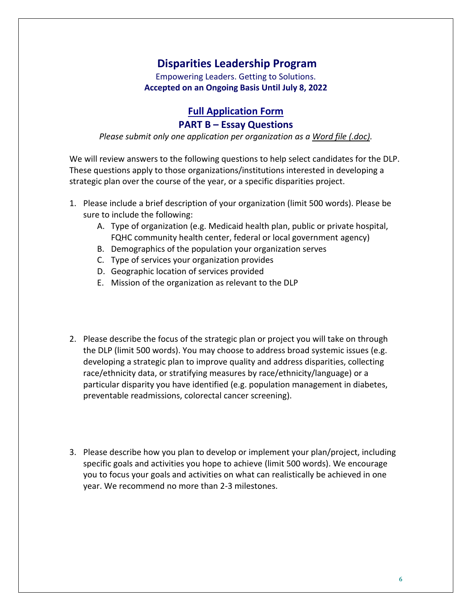Empowering Leaders. Getting to Solutions. **Accepted on an Ongoing Basis Until July 8, 2022**

# **Full Application Form PART B – Essay Questions**

*Please submit only one application per organization as a Word file (.doc).*

We will review answers to the following questions to help select candidates for the DLP. These questions apply to those organizations/institutions interested in developing a strategic plan over the course of the year, or a specific disparities project.

- 1. Please include a brief description of your organization (limit 500 words). Please be sure to include the following:
	- A. Type of organization (e.g. Medicaid health plan, public or private hospital, FQHC community health center, federal or local government agency)
	- B. Demographics of the population your organization serves
	- C. Type of services your organization provides
	- D. Geographic location of services provided
	- E. Mission of the organization as relevant to the DLP
- 2. Please describe the focus of the strategic plan or project you will take on through the DLP (limit 500 words). You may choose to address broad systemic issues (e.g. developing a strategic plan to improve quality and address disparities, collecting race/ethnicity data, or stratifying measures by race/ethnicity/language) or a particular disparity you have identified (e.g. population management in diabetes, preventable readmissions, colorectal cancer screening).
- 3. Please describe how you plan to develop or implement your plan/project, including specific goals and activities you hope to achieve (limit 500 words). We encourage you to focus your goals and activities on what can realistically be achieved in one year. We recommend no more than 2-3 milestones.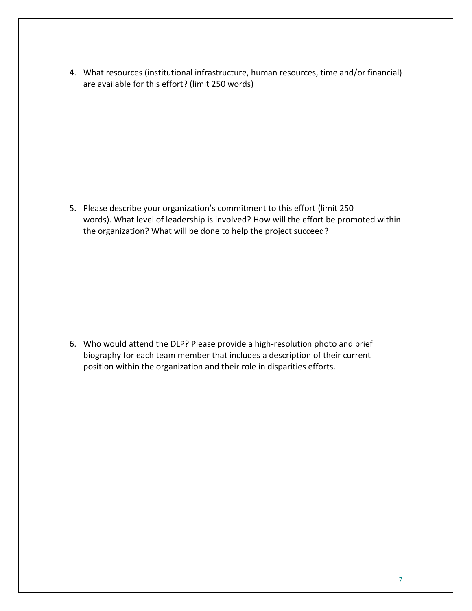4. What resources (institutional infrastructure, human resources, time and/or financial) are available for this effort? (limit 250 words)

5. Please describe your organization's commitment to this effort (limit 250 words). What level of leadership is involved? How will the effort be promoted within the organization? What will be done to help the project succeed?

6. Who would attend the DLP? Please provide a high-resolution photo and brief biography for each team member that includes a description of their current position within the organization and their role in disparities efforts.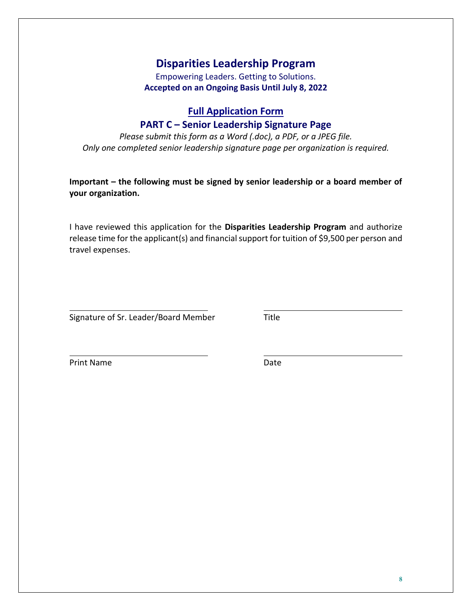Empowering Leaders. Getting to Solutions. **Accepted on an Ongoing Basis Until July 8, 2022**

## **Full Application Form**

### **PART C – Senior Leadership Signature Page**

*Please submit this form as a Word (.doc), a PDF, or a JPEG file. Only one completed senior leadership signature page per organization is required.*

**Important – the following must be signed by senior leadership or a board member of your organization.**

I have reviewed this application for the **Disparities Leadership Program** and authorize release time for the applicant(s) and financial support for tuition of \$9,500 per person and travel expenses.

Signature of Sr. Leader/Board Member Title

Print Name Date Date